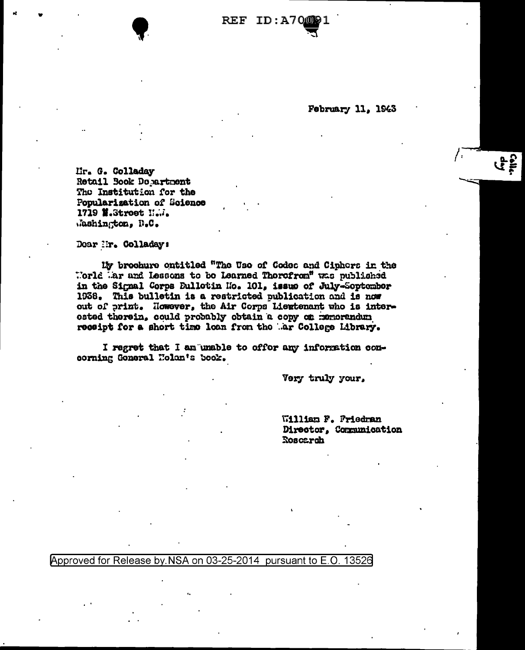**REF ID:A70** 

February 11, 1943

Lir. G. Colladay Retail Book Dopartment The Institution for the Popularization of Science 1719 M.Stroet N.W. Mashington, D.C.

Doar Mr. Colladay:

My brochure ontitled "The Use of Codec and Ciphors in the Morld Mar and Lessons to be Learned Thorofrom" was published in the Signal Corps Bullotin Mo. 101, issue of July-September 1938. This bulletin is a restricted publication and is now out of print. However, the Air Corps Liewtenant who is interested therein, could probably obtain a copy on memorandum receipt for a short time loan from the .ar College Library.

I regret that I am unable to offor any information comcorning Goneral Holan's book.

Very truly your,

William F. Friedman Director, Communication Roscarch

Approved for Release by NSA on 03-25-2014 pursuant to E.O. 13526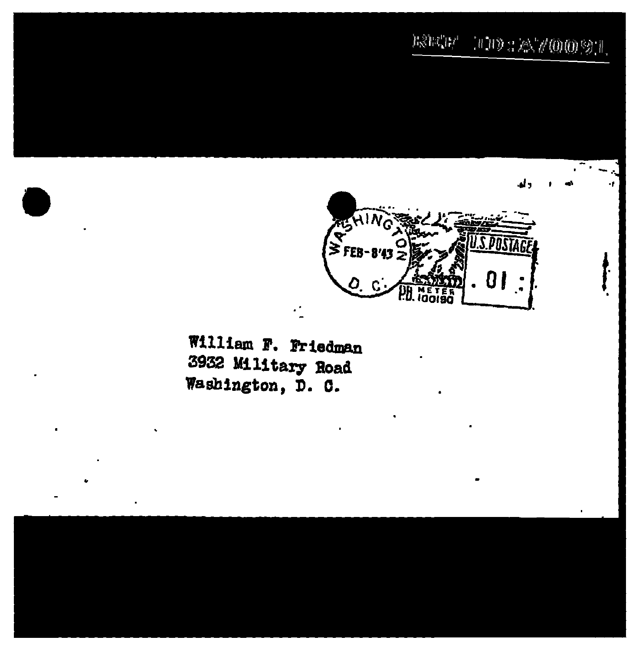## $\mathbb{E} \mathbb{E} \mathbb{E} \mathbb{E} \mathbb{E} \mathbb{E} \mathbb{E} \left[ \mathbb{E} \left[ \mathbb{E} \left[ \mathbb{E} \left[ \mathbb{E} \left[ \mathbb{E} \left[ \mathbb{E} \left[ \mathbb{E} \left[ \mathbb{E} \left[ \mathbb{E} \left[ \mathbb{E} \left[ \mathbb{E} \left[ \mathbb{E} \left[ \mathbb{E} \left[ \mathbb{E} \left[ \mathbb{E} \left[ \mathbb{E} \left[ \mathbb{E} \left[ \mathbb{E} \left[ \mathbb{E} \left[ \mathbb{$



William F. Friedman 3932 Military Road Washington, D. C.